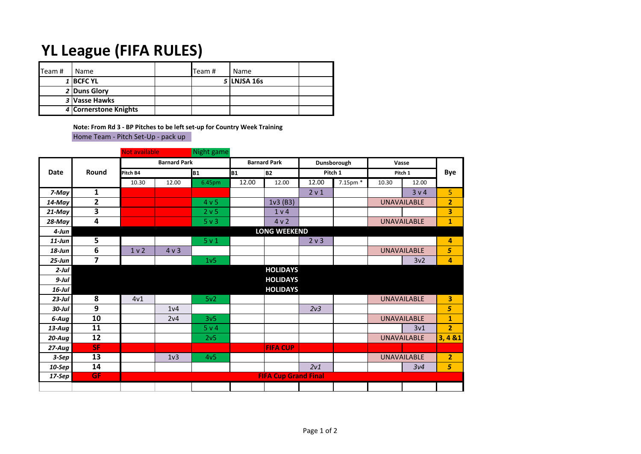## **YL League (FIFA RULES)**

| $\mathsf{T}$ eam# | Name                  | Team # | Name        |  |
|-------------------|-----------------------|--------|-------------|--|
|                   | 1 BCFC YL             |        | 5 LNJSA 16s |  |
|                   | 2 Duns Glory          |        |             |  |
|                   | 3 Vasse Hawks         |        |             |  |
|                   | 4 Cornerstone Knights |        |             |  |

**Note: From Rd 3 - BP Pitches to be left set-up for Country Week Training** Home Team - Pitch Set-Up - pack up

|             |                         | <b>Not available</b> |                             | Night game       |                     |                     |                  |          |                    |                    |                |
|-------------|-------------------------|----------------------|-----------------------------|------------------|---------------------|---------------------|------------------|----------|--------------------|--------------------|----------------|
| <b>Date</b> | Round                   | <b>Barnard Park</b>  |                             |                  | <b>Barnard Park</b> |                     | Dunsborough      |          | Vasse              |                    |                |
|             |                         | Pitch B4             |                             | <b>B1</b>        | B <sub>1</sub>      | B <sub>2</sub>      |                  | Pitch 1  |                    | Pitch 1            |                |
|             |                         | 10.30                | 12.00                       | 6.45pm           | 12.00               | 12.00               | 12.00            | 7.15pm * | 10.30              | 12.00              |                |
| 7-May       | 1                       |                      |                             |                  |                     |                     | 2 v 1            |          |                    | 3 v 4              | 5              |
| $14$ -May   | $\overline{2}$          |                      |                             | 4 <sub>v</sub> 5 |                     | 1v3(B3)             |                  |          |                    | <b>UNAVAILABLE</b> | $\overline{2}$ |
| $21$ -May   | $\overline{\mathbf{3}}$ |                      |                             | 2 v 5            |                     | 1 <sub>v</sub> 4    |                  |          |                    |                    | 3              |
| $28$ -May   | $\overline{\mathbf{4}}$ |                      |                             | $5v$ 3           |                     | 4v2                 |                  |          |                    | <b>UNAVAILABLE</b> | $\mathbf{1}$   |
| $4$ -Jun    |                         |                      |                             |                  |                     | <b>LONG WEEKEND</b> |                  |          |                    |                    |                |
| $11$ -Jun   | $\overline{5}$          |                      |                             | 5 <sub>v</sub> 1 |                     |                     | 2 <sub>v</sub> 3 |          |                    |                    | 4              |
| $18$ -Jun   | $\bf 6$                 | 1 <sub>v</sub>       | 4 v 3                       |                  |                     |                     |                  |          | <b>UNAVAILABLE</b> |                    | 5              |
| $25 - Jun$  | $\overline{\mathbf{z}}$ |                      |                             | 1 <sub>v</sub> 5 |                     |                     |                  |          |                    | 3v <sub>2</sub>    | 4              |
| $2$ -Jul    |                         |                      |                             |                  |                     | <b>HOLIDAYS</b>     |                  |          |                    |                    |                |
| $9$ -Jul    |                         |                      |                             |                  |                     | <b>HOLIDAYS</b>     |                  |          |                    |                    |                |
| $16$ -Jul   |                         |                      |                             |                  |                     | <b>HOLIDAYS</b>     |                  |          |                    |                    |                |
| $23$ -Jul   | 8                       | 4v1                  |                             | 5v <sub>2</sub>  |                     |                     |                  |          |                    | <b>UNAVAILABLE</b> | 3              |
| $30$ -Jul   | 9                       |                      | 1 <sub>v</sub> 4            |                  |                     |                     | 2v3              |          |                    |                    | 5              |
| 6-Aug       | 10                      |                      | 2v4                         | 3v <sub>5</sub>  |                     |                     |                  |          |                    | <b>UNAVAILABLE</b> | $\mathbf{1}$   |
| $13 - Aug$  | 11                      |                      |                             | 5 v 4            |                     |                     |                  |          |                    | 3v1                | $\overline{2}$ |
| $20 - Aug$  | 12                      |                      |                             | 2v <sub>5</sub>  |                     |                     |                  |          |                    | <b>UNAVAILABLE</b> | 3,481          |
| $27 - Aug$  | <b>SF</b>               |                      |                             |                  |                     | <b>FIFA CUP</b>     |                  |          |                    |                    |                |
| $3-Sep$     | 13                      |                      | 1 <sub>v</sub> 3            | 4v <sub>5</sub>  |                     |                     |                  |          |                    | <b>UNAVAILABLE</b> | $\overline{2}$ |
| 10-Sep      | 14                      |                      |                             |                  |                     |                     | 2v1              |          |                    | 3v4                | 5              |
| $17-$ Sep   | <b>GF</b>               |                      | <b>FIFA Cup Grand Final</b> |                  |                     |                     |                  |          |                    |                    |                |
|             |                         |                      |                             |                  |                     |                     |                  |          |                    |                    |                |